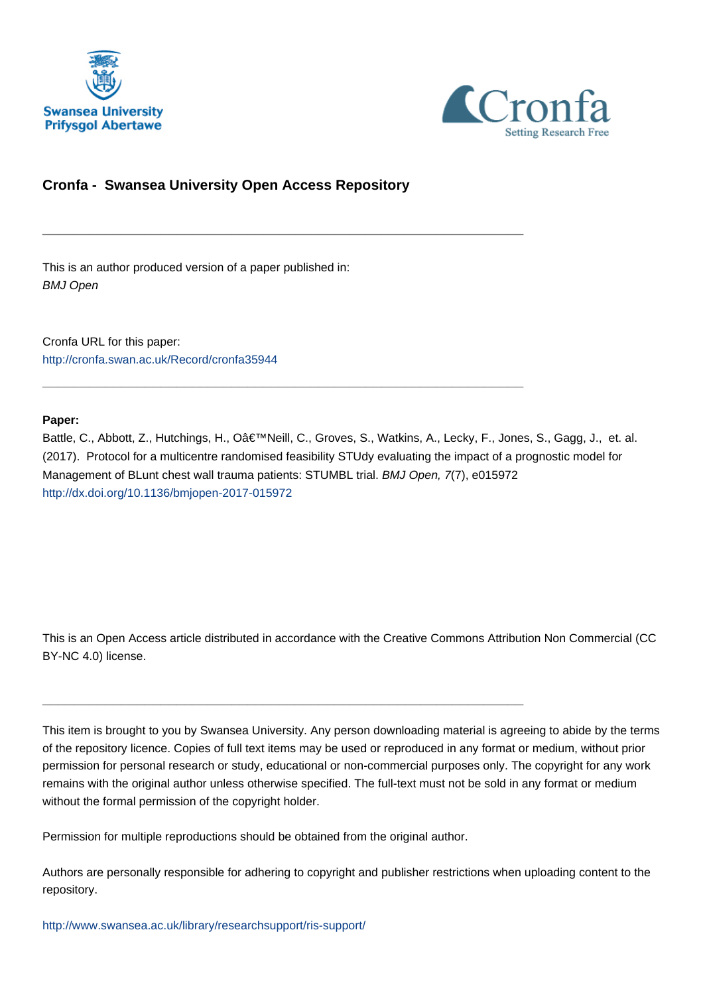



# **Cronfa - Swansea University Open Access Repository**

\_\_\_\_\_\_\_\_\_\_\_\_\_\_\_\_\_\_\_\_\_\_\_\_\_\_\_\_\_\_\_\_\_\_\_\_\_\_\_\_\_\_\_\_\_\_\_\_\_\_\_\_\_\_\_\_\_\_\_\_\_

\_\_\_\_\_\_\_\_\_\_\_\_\_\_\_\_\_\_\_\_\_\_\_\_\_\_\_\_\_\_\_\_\_\_\_\_\_\_\_\_\_\_\_\_\_\_\_\_\_\_\_\_\_\_\_\_\_\_\_\_\_

This is an author produced version of a paper published in: BMJ Open

Cronfa URL for this paper: <http://cronfa.swan.ac.uk/Record/cronfa35944>

# **Paper:**

Battle, C., Abbott, Z., Hutchings, H., O'Neill, C., Groves, S., Watkins, A., Lecky, F., Jones, S., Gagg, J., et. al. (2017). Protocol for a multicentre randomised feasibility STUdy evaluating the impact of a prognostic model for Management of BLunt chest wall trauma patients: STUMBL trial. BMJ Open, 7(7), e015972 <http://dx.doi.org/10.1136/bmjopen-2017-015972>

This is an Open Access article distributed in accordance with the Creative Commons Attribution Non Commercial (CC BY-NC 4.0) license.

This item is brought to you by Swansea University. Any person downloading material is agreeing to abide by the terms of the repository licence. Copies of full text items may be used or reproduced in any format or medium, without prior permission for personal research or study, educational or non-commercial purposes only. The copyright for any work remains with the original author unless otherwise specified. The full-text must not be sold in any format or medium without the formal permission of the copyright holder.

Permission for multiple reproductions should be obtained from the original author.

\_\_\_\_\_\_\_\_\_\_\_\_\_\_\_\_\_\_\_\_\_\_\_\_\_\_\_\_\_\_\_\_\_\_\_\_\_\_\_\_\_\_\_\_\_\_\_\_\_\_\_\_\_\_\_\_\_\_\_\_\_

Authors are personally responsible for adhering to copyright and publisher restrictions when uploading content to the repository.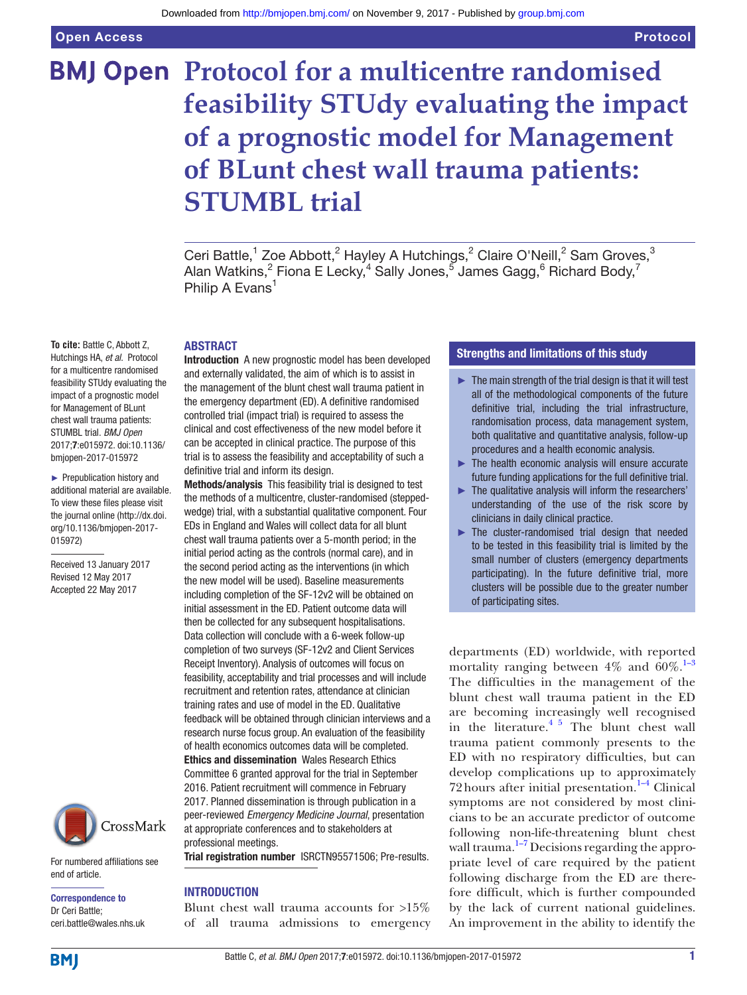# **BMJ Open Protocol for a multicentre randomised feasibility STUdy evaluating the impact of a prognostic model for Management of BLunt chest wall trauma patients: STUMBL trial**

Ceri Battle,<sup>1</sup> Zoe Abbott,<sup>2</sup> Hayley A Hutchings,<sup>2</sup> Claire O'Neill,<sup>2</sup> Sam Groves,<sup>3</sup> Alan Watkins, $^2$  Fiona E Lecky, $^4$  Sally Jones, $^5$  James Gagg, $^6$  Richard Body, $^7$ Philip A Evans<sup>1</sup>

#### **ABSTRACT**

**To cite:** Battle C, Abbott Z, Hutchings HA, *et al*. Protocol for a multicentre randomised feasibility STUdy evaluating the impact of a prognostic model for Management of BLunt chest wall trauma patients: STUMBL trial. *BMJ Open* 2017;7:e015972. doi:10.1136/ bmjopen-2017-015972

► Prepublication history and additional material are available. To view these files please visit the journal online (http://dx.doi. org/10.1136/bmjopen-2017- 015972)

Received 13 January 2017 Revised 12 May 2017 Accepted 22 May 2017



For numbered affiliations see end of article.

Correspondence to Dr Ceri Battle; ceri.battle@wales.nhs.uk Introduction A new prognostic model has been developed and externally validated, the aim of which is to assist in the management of the blunt chest wall trauma patient in the emergency department (ED). A definitive randomised controlled trial (impact trial) is required to assess the clinical and cost effectiveness of the new model before it can be accepted in clinical practice. The purpose of this trial is to assess the feasibility and acceptability of such a definitive trial and inform its design.

Methods/analysis This feasibility trial is designed to test the methods of a multicentre, cluster-randomised (steppedwedge) trial, with a substantial qualitative component. Four EDs in England and Wales will collect data for all blunt chest wall trauma patients over a 5-month period; in the initial period acting as the controls (normal care), and in the second period acting as the interventions (in which the new model will be used). Baseline measurements including completion of the SF-12v2 will be obtained on initial assessment in the ED. Patient outcome data will then be collected for any subsequent hospitalisations. Data collection will conclude with a 6-week follow-up completion of two surveys (SF-12v2 and Client Services Receipt Inventory). Analysis of outcomes will focus on feasibility, acceptability and trial processes and will include recruitment and retention rates, attendance at clinician training rates and use of model in the ED. Qualitative feedback will be obtained through clinician interviews and a research nurse focus group. An evaluation of the feasibility of health economics outcomes data will be completed. Ethics and dissemination Wales Research Ethics Committee 6 granted approval for the trial in September 2016. Patient recruitment will commence in February 2017. Planned dissemination is through publication in a peer-reviewed *Emergency Medicine Journal*, presentation at appropriate conferences and to stakeholders at professional meetings.

Trial registration number ISRCTN95571506; Pre-results.

#### **INTRODUCTION**

Blunt chest wall trauma accounts for >15% of all trauma admissions to emergency

# Strengths and limitations of this study

- $\blacktriangleright$  The main strength of the trial design is that it will test all of the methodological components of the future definitive trial, including the trial infrastructure, randomisation process, data management system, both qualitative and quantitative analysis, follow-up procedures and a health economic analysis.
- ► The health economic analysis will ensure accurate future funding applications for the full definitive trial.
- $\blacktriangleright$  The qualitative analysis will inform the researchers' understanding of the use of the risk score by clinicians in daily clinical practice.
- ► The cluster-randomised trial design that needed to be tested in this feasibility trial is limited by the small number of clusters (emergency departments participating). In the future definitive trial, more clusters will be possible due to the greater number of participating sites.

departments (ED) worldwide, with reported mortality ranging between  $4\%$  and  $60\%$ .<sup>1–3</sup> The difficulties in the management of the blunt chest wall trauma patient in the ED are becoming increasingly well recognised in the literature. $4\frac{5}{2}$  The blunt chest wall trauma patient commonly presents to the ED with no respiratory difficulties, but can develop complications up to approximately 72 hours after initial presentation. $1-4$  Clinical symptoms are not considered by most clinicians to be an accurate predictor of outcome following non-life-threatening blunt chest wall trauma. $1-7$  Decisions regarding the appropriate level of care required by the patient following discharge from the ED are therefore difficult, which is further compounded by the lack of current national guidelines. An improvement in the ability to identify the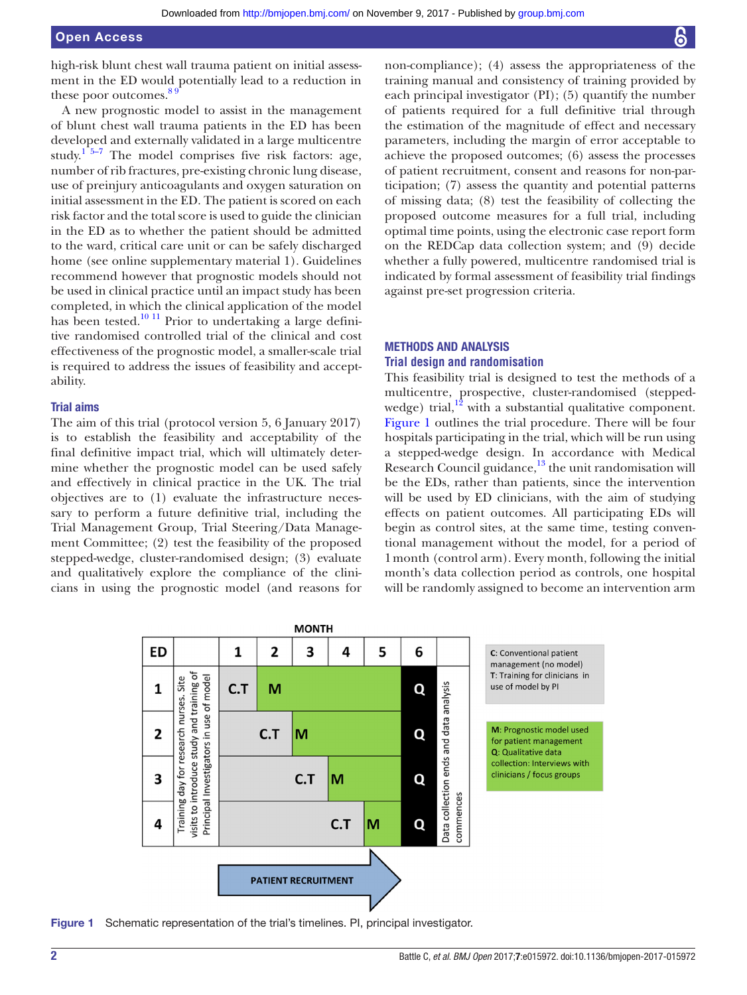high-risk blunt chest wall trauma patient on initial assessment in the ED would potentially lead to a reduction in these poor outcomes.<sup>89</sup>

A new prognostic model to assist in the management of blunt chest wall trauma patients in the ED has been developed and externally validated in a large multicentre study.<sup>1 5–7</sup> The model comprises five risk factors: age, number of rib fractures, pre-existing chronic lung disease, use of preinjury anticoagulants and oxygen saturation on initial assessment in the ED. The patient is scored on each risk factor and the total score is used to guide the clinician in the ED as to whether the patient should be admitted to the ward, critical care unit or can be safely discharged home (see online supplementary material 1). Guidelines recommend however that prognostic models should not be used in clinical practice until an impact study has been completed, in which the clinical application of the model has been tested.<sup>10 11</sup> Prior to undertaking a large definitive randomised controlled trial of the clinical and cost effectiveness of the prognostic model, a smaller-scale trial is required to address the issues of feasibility and acceptability.

#### Trial aims

The aim of this trial (protocol version 5, 6 January 2017) is to establish the feasibility and acceptability of the final definitive impact trial, which will ultimately determine whether the prognostic model can be used safely and effectively in clinical practice in the UK. The trial objectives are to (1) evaluate the infrastructure necessary to perform a future definitive trial, including the Trial Management Group, Trial Steering/Data Management Committee; (2) test the feasibility of the proposed stepped-wedge, cluster-randomised design; (3) evaluate and qualitatively explore the compliance of the clinicians in using the prognostic model (and reasons for non-compliance); (4) assess the appropriateness of the training manual and consistency of training provided by each principal investigator (PI); (5) quantify the number of patients required for a full definitive trial through the estimation of the magnitude of effect and necessary parameters, including the margin of error acceptable to achieve the proposed outcomes; (6) assess the processes of patient recruitment, consent and reasons for non-participation; (7) assess the quantity and potential patterns of missing data; (8) test the feasibility of collecting the proposed outcome measures for a full trial, including optimal time points, using the electronic case report form on the REDCap data collection system; and (9) decide whether a fully powered, multicentre randomised trial is indicated by formal assessment of feasibility trial findings against pre-set progression criteria.

# Methods and analysis

#### **Trial design and randomisation**

This feasibility trial is designed to test the methods of a multicentre, prospective, cluster-randomised (steppedwedge) trial, $12$  with a substantial qualitative component. Figure 1 outlines the trial procedure. There will be four hospitals participating in the trial, which will be run using a stepped-wedge design. In accordance with Medical Research Council guidance, $13$  the unit randomisation will be the EDs, rather than patients, since the intervention will be used by ED clinicians, with the aim of studying effects on patient outcomes. All participating EDs will begin as control sites, at the same time, testing conventional management without the model, for a period of 1month (control arm). Every month, following the initial month's data collection period as controls, one hospital will be randomly assigned to become an intervention arm



Figure 1 Schematic representation of the trial's timelines. PI, principal investigator.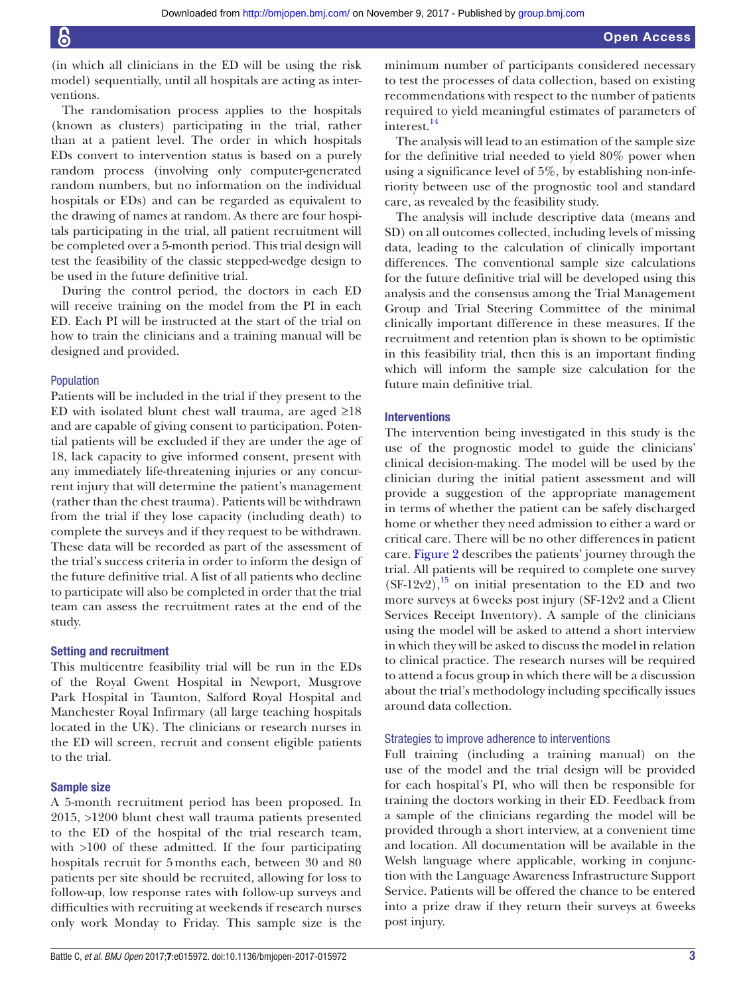(in which all clinicians in the ED will be using the risk model) sequentially, until all hospitals are acting as interventions.

The randomisation process applies to the hospitals (known as clusters) participating in the trial, rather than at a patient level. The order in which hospitals EDs convert to intervention status is based on a purely random process (involving only computer-generated random numbers, but no information on the individual hospitals or EDs) and can be regarded as equivalent to the drawing of names at random. As there are four hospitals participating in the trial, all patient recruitment will be completed over a 5-month period. This trial design will test the feasibility of the classic stepped-wedge design to be used in the future definitive trial.

During the control period, the doctors in each ED will receive training on the model from the PI in each ED. Each PI will be instructed at the start of the trial on how to train the clinicians and a training manual will be designed and provided.

#### Population

Patients will be included in the trial if they present to the ED with isolated blunt chest wall trauma, are aged  $\geq 18$ and are capable of giving consent to participation. Potential patients will be excluded if they are under the age of 18, lack capacity to give informed consent, present with any immediately life-threatening injuries or any concurrent injury that will determine the patient's management (rather than the chest trauma). Patients will be withdrawn from the trial if they lose capacity (including death) to complete the surveys and if they request to be withdrawn. These data will be recorded as part of the assessment of the trial's success criteria in order to inform the design of the future definitive trial. A list of all patients who decline to participate will also be completed in order that the trial team can assess the recruitment rates at the end of the study.

#### Setting and recruitment

This multicentre feasibility trial will be run in the EDs of the Royal Gwent Hospital in Newport, Musgrove Park Hospital in Taunton, Salford Royal Hospital and Manchester Royal Infirmary (all large teaching hospitals located in the UK). The clinicians or research nurses in the ED will screen, recruit and consent eligible patients to the trial.

#### Sample size

A 5-month recruitment period has been proposed. In 2015, >1200 blunt chest wall trauma patients presented to the ED of the hospital of the trial research team, with  $>100$  of these admitted. If the four participating hospitals recruit for 5months each, between 30 and 80 patients per site should be recruited, allowing for loss to follow-up, low response rates with follow-up surveys and difficulties with recruiting at weekends if research nurses only work Monday to Friday. This sample size is the

minimum number of participants considered necessary to test the processes of data collection, based on existing recommendations with respect to the number of patients required to yield meaningful estimates of parameters of interest.<sup>14</sup>

The analysis will lead to an estimation of the sample size for the definitive trial needed to yield 80% power when using a significance level of 5%, by establishing non-inferiority between use of the prognostic tool and standard care, as revealed by the feasibility study.

The analysis will include descriptive data (means and SD) on all outcomes collected, including levels of missing data, leading to the calculation of clinically important differences. The conventional sample size calculations for the future definitive trial will be developed using this analysis and the consensus among the Trial Management Group and Trial Steering Committee of the minimal clinically important difference in these measures. If the recruitment and retention plan is shown to be optimistic in this feasibility trial, then this is an important finding which will inform the sample size calculation for the future main definitive trial.

#### Interventions

The intervention being investigated in this study is the use of the prognostic model to guide the clinicians' clinical decision-making. The model will be used by the clinician during the initial patient assessment and will provide a suggestion of the appropriate management in terms of whether the patient can be safely discharged home or whether they need admission to either a ward or critical care. There will be no other differences in patient care. Figure 2 describes the patients' journey through the trial. All patients will be required to complete one survey  $(SF-12v2)$ ,<sup>15</sup> on initial presentation to the ED and two more surveys at 6weeks post injury (SF-12v2 and a Client Services Receipt Inventory). A sample of the clinicians using the model will be asked to attend a short interview in which they will be asked to discuss the model in relation to clinical practice. The research nurses will be required to attend a focus group in which there will be a discussion about the trial's methodology including specifically issues around data collection.

#### Strategies to improve adherence to interventions

Full training (including a training manual) on the use of the model and the trial design will be provided for each hospital's PI, who will then be responsible for training the doctors working in their ED. Feedback from a sample of the clinicians regarding the model will be provided through a short interview, at a convenient time and location. All documentation will be available in the Welsh language where applicable, working in conjunction with the Language Awareness Infrastructure Support Service. Patients will be offered the chance to be entered into a prize draw if they return their surveys at 6weeks post injury.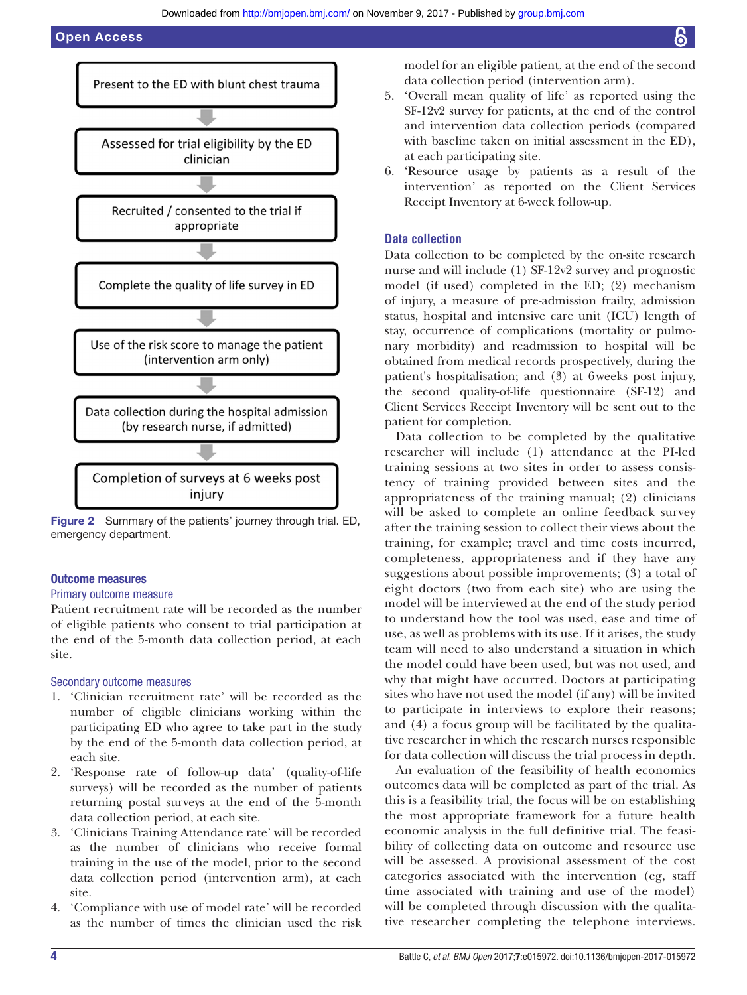

Figure 2 Summary of the patients' journey through trial. ED, emergency department.

#### Outcome measures

#### Primary outcome measure

Patient recruitment rate will be recorded as the number of eligible patients who consent to trial participation at the end of the 5-month data collection period, at each site.

#### Secondary outcome measures

- 1. 'Clinician recruitment rate' will be recorded as the number of eligible clinicians working within the participating ED who agree to take part in the study by the end of the 5-month data collection period, at each site.
- 2. 'Response rate of follow-up data' (quality-of-life surveys) will be recorded as the number of patients returning postal surveys at the end of the 5-month data collection period, at each site.
- 3. 'Clinicians Training Attendance rate' will be recorded as the number of clinicians who receive formal training in the use of the model, prior to the second data collection period (intervention arm), at each site.
- 4. 'Compliance with use of model rate' will be recorded as the number of times the clinician used the risk

model for an eligible patient, at the end of the second data collection period (intervention arm).

- 5. 'Overall mean quality of life' as reported using the SF-12v2 survey for patients, at the end of the control and intervention data collection periods (compared with baseline taken on initial assessment in the ED), at each participating site.
- 6. 'Resource usage by patients as a result of the intervention' as reported on the Client Services Receipt Inventory at 6-week follow-up.

#### **Data collection**

Data collection to be completed by the on-site research nurse and will include (1) SF-12v2 survey and prognostic model (if used) completed in the ED; (2) mechanism of injury, a measure of pre-admission frailty, admission status, hospital and intensive care unit (ICU) length of stay, occurrence of complications (mortality or pulmonary morbidity) and readmission to hospital will be obtained from medical records prospectively, during the patient's hospitalisation; and (3) at 6weeks post injury, the second quality-of-life questionnaire (SF-12) and Client Services Receipt Inventory will be sent out to the patient for completion.

Data collection to be completed by the qualitative researcher will include (1) attendance at the PI-led training sessions at two sites in order to assess consistency of training provided between sites and the appropriateness of the training manual; (2) clinicians will be asked to complete an online feedback survey after the training session to collect their views about the training, for example; travel and time costs incurred, completeness, appropriateness and if they have any suggestions about possible improvements; (3) a total of eight doctors (two from each site) who are using the model will be interviewed at the end of the study period to understand how the tool was used, ease and time of use, as well as problems with its use. If it arises, the study team will need to also understand a situation in which the model could have been used, but was not used, and why that might have occurred. Doctors at participating sites who have not used the model (if any) will be invited to participate in interviews to explore their reasons; and (4) a focus group will be facilitated by the qualitative researcher in which the research nurses responsible for data collection will discuss the trial process in depth.

An evaluation of the feasibility of health economics outcomes data will be completed as part of the trial. As this is a feasibility trial, the focus will be on establishing the most appropriate framework for a future health economic analysis in the full definitive trial. The feasibility of collecting data on outcome and resource use will be assessed. A provisional assessment of the cost categories associated with the intervention (eg, staff time associated with training and use of the model) will be completed through discussion with the qualitative researcher completing the telephone interviews.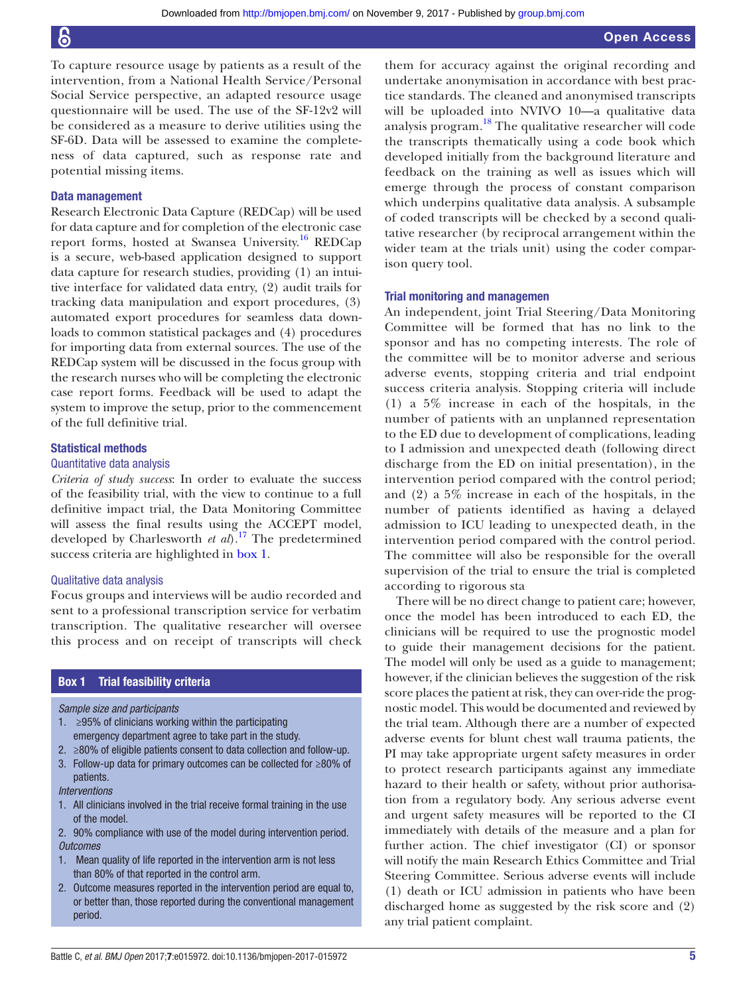To capture resource usage by patients as a result of the intervention, from a National Health Service/Personal Social Service perspective, an adapted resource usage questionnaire will be used. The use of the SF-12v2 will be considered as a measure to derive utilities using the SF-6D. Data will be assessed to examine the completeness of data captured, such as response rate and potential missing items.

#### Data management

Research Electronic Data Capture (REDCap) will be used for data capture and for completion of the electronic case report forms, hosted at Swansea University.<sup>16</sup> REDCap is a secure, web-based application designed to support data capture for research studies, providing (1) an intuitive interface for validated data entry, (2) audit trails for tracking data manipulation and export procedures, (3) automated export procedures for seamless data downloads to common statistical packages and (4) procedures for importing data from external sources. The use of the REDCap system will be discussed in the focus group with the research nurses who will be completing the electronic case report forms. Feedback will be used to adapt the system to improve the setup, prior to the commencement of the full definitive trial.

#### Statistical methods

#### Quantitative data analysis

*Criteria of study success*: In order to evaluate the success of the feasibility trial, with the view to continue to a full definitive impact trial, the Data Monitoring Committee will assess the final results using the ACCEPT model, developed by Charlesworth *et al*).17 The predetermined success criteria are highlighted in box 1.

#### Qualitative data analysis

Focus groups and interviews will be audio recorded and sent to a professional transcription service for verbatim transcription. The qualitative researcher will oversee this process and on receipt of transcripts will check

#### Box 1 Trial feasibility criteria

#### *Sample size and participants*

- 1. ≥95% of clinicians working within the participating emergency department agree to take part in the study.
- 2. ≥80% of eligible patients consent to data collection and follow-up.
- 3. Follow-up data for primary outcomes can be collected for ≥80% of patients.

#### *Interventions*

- 1. All clinicians involved in the trial receive formal training in the use of the model.
- 2. 90% compliance with use of the model during intervention period. *Outcomes*
- 1. Mean quality of life reported in the intervention arm is not less than 80% of that reported in the control arm.
- 2. Outcome measures reported in the intervention period are equal to, or better than, those reported during the conventional management period.

them for accuracy against the original recording and undertake anonymisation in accordance with best practice standards. The cleaned and anonymised transcripts will be uploaded into NVIVO 10—a qualitative data analysis program.18 The qualitative researcher will code the transcripts thematically using a code book which developed initially from the background literature and feedback on the training as well as issues which will emerge through the process of constant comparison which underpins qualitative data analysis. A subsample of coded transcripts will be checked by a second qualitative researcher (by reciprocal arrangement within the wider team at the trials unit) using the coder comparison query tool.

#### Trial monitoring and managemen

An independent, joint Trial Steering/Data Monitoring Committee will be formed that has no link to the sponsor and has no competing interests. The role of the committee will be to monitor adverse and serious adverse events, stopping criteria and trial endpoint success criteria analysis. Stopping criteria will include (1) a 5% increase in each of the hospitals, in the number of patients with an unplanned representation to the ED due to development of complications, leading to I admission and unexpected death (following direct discharge from the ED on initial presentation), in the intervention period compared with the control period; and (2) a 5% increase in each of the hospitals, in the number of patients identified as having a delayed admission to ICU leading to unexpected death, in the intervention period compared with the control period. The committee will also be responsible for the overall supervision of the trial to ensure the trial is completed according to rigorous sta

There will be no direct change to patient care; however, once the model has been introduced to each ED, the clinicians will be required to use the prognostic model to guide their management decisions for the patient. The model will only be used as a guide to management; however, if the clinician believes the suggestion of the risk score places the patient at risk, they can over-ride the prognostic model. This would be documented and reviewed by the trial team. Although there are a number of expected adverse events for blunt chest wall trauma patients, the PI may take appropriate urgent safety measures in order to protect research participants against any immediate hazard to their health or safety, without prior authorisation from a regulatory body. Any serious adverse event and urgent safety measures will be reported to the CI immediately with details of the measure and a plan for further action. The chief investigator (CI) or sponsor will notify the main Research Ethics Committee and Trial Steering Committee. Serious adverse events will include (1) death or ICU admission in patients who have been discharged home as suggested by the risk score and (2) any trial patient complaint.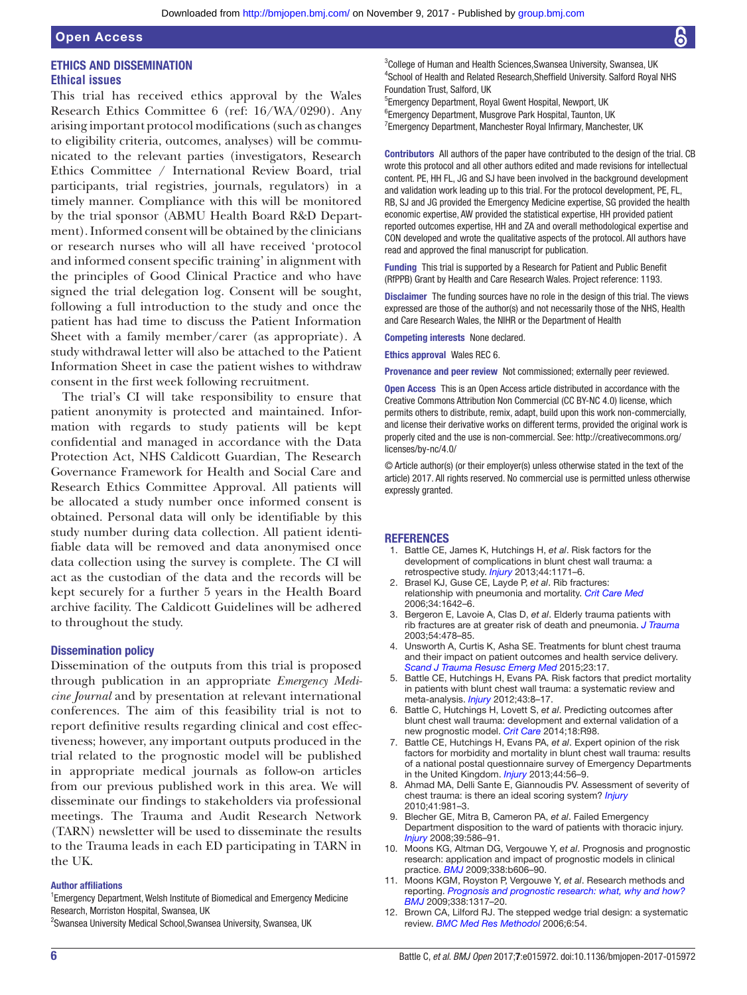# Ethics and dissemination **Ethical issues**

This trial has received ethics approval by the Wales Research Ethics Committee 6 (ref: 16/WA/0290). Any arising important protocol modifications (such as changes to eligibility criteria, outcomes, analyses) will be communicated to the relevant parties (investigators, Research Ethics Committee / International Review Board, trial participants, trial registries, journals, regulators) in a timely manner. Compliance with this will be monitored by the trial sponsor (ABMU Health Board R&D Department). Informed consent will be obtained by the clinicians or research nurses who will all have received 'protocol and informed consent specific training' in alignment with the principles of Good Clinical Practice and who have signed the trial delegation log. Consent will be sought, following a full introduction to the study and once the patient has had time to discuss the Patient Information Sheet with a family member/carer (as appropriate). A study withdrawal letter will also be attached to the Patient Information Sheet in case the patient wishes to withdraw consent in the first week following recruitment.

The trial's CI will take responsibility to ensure that patient anonymity is protected and maintained. Information with regards to study patients will be kept confidential and managed in accordance with the Data Protection Act, NHS Caldicott Guardian, The Research Governance Framework for Health and Social Care and Research Ethics Committee Approval. All patients will be allocated a study number once informed consent is obtained. Personal data will only be identifiable by this study number during data collection. All patient identifiable data will be removed and data anonymised once data collection using the survey is complete. The CI will act as the custodian of the data and the records will be kept securely for a further 5 years in the Health Board archive facility. The Caldicott Guidelines will be adhered to throughout the study.

#### Dissemination policy

Dissemination of the outputs from this trial is proposed through publication in an appropriate *Emergency Medicine Journal* and by presentation at relevant international conferences. The aim of this feasibility trial is not to report definitive results regarding clinical and cost effectiveness; however, any important outputs produced in the trial related to the prognostic model will be published in appropriate medical journals as follow-on articles from our previous published work in this area. We will disseminate our findings to stakeholders via professional meetings. The Trauma and Audit Research Network (TARN) newsletter will be used to disseminate the results to the Trauma leads in each ED participating in TARN in the UK.

#### Author affiliations

<sup>1</sup> Emergency Department, Welsh Institute of Biomedical and Emergency Medicine Research, Morriston Hospital, Swansea, UK

<sup>2</sup>Swansea University Medical School, Swansea University, Swansea, UK

<sup>3</sup>College of Human and Health Sciences, Swansea University, Swansea, UK 4 School of Health and Related Research,Sheffield University. Salford Royal NHS Foundation Trust, Salford, UK

5 Emergency Department, Royal Gwent Hospital, Newport, UK

6 Emergency Department, Musgrove Park Hospital, Taunton, UK

<sup>7</sup> Emergency Department, Manchester Royal Infirmary, Manchester, UK

Contributors All authors of the paper have contributed to the design of the trial. CB wrote this protocol and all other authors edited and made revisions for intellectual content. PE, HH FL, JG and SJ have been involved in the background development and validation work leading up to this trial. For the protocol development, PE, FL, RB, SJ and JG provided the Emergency Medicine expertise, SG provided the health economic expertise, AW provided the statistical expertise, HH provided patient reported outcomes expertise, HH and ZA and overall methodological expertise and CON developed and wrote the qualitative aspects of the protocol. All authors have read and approved the final manuscript for publication.

Funding This trial is supported by a Research for Patient and Public Benefit (RfPPB) Grant by Health and Care Research Wales. Project reference: 1193.

Disclaimer The funding sources have no role in the design of this trial. The views expressed are those of the author(s) and not necessarily those of the NHS, Health and Care Research Wales, the NIHR or the Department of Health

Competing interests None declared.

Ethics approval Wales REC 6.

Provenance and peer review Not commissioned; externally peer reviewed.

Open Access This is an Open Access article distributed in accordance with the Creative Commons Attribution Non Commercial (CC BY-NC 4.0) license, which permits others to distribute, remix, adapt, build upon this work non-commercially, and license their derivative works on different terms, provided the original work is properly cited and the use is non-commercial. See: http://creativecommons.org/ licenses/by-nc/4.0/

© Article author(s) (or their employer(s) unless otherwise stated in the text of the article) 2017. All rights reserved. No commercial use is permitted unless otherwise expressly granted.

#### **REFERENCES**

- 1. Battle CE, James K, Hutchings H, *et al*. Risk factors for the development of complications in blunt chest wall trauma: a retrospective study. *Injury* 2013;44:1171–6.
- 2. Brasel KJ, Guse CE, Layde P, *et al*. Rib fractures: relationship with pneumonia and mortality. *Crit Care Med* 2006;34:1642–6.
- 3. Bergeron E, Lavoie A, Clas D, *et al*. Elderly trauma patients with rib fractures are at greater risk of death and pneumonia. *J Trauma* 2003;54:478–85.
- 4. Unsworth A, Curtis K, Asha SE. Treatments for blunt chest trauma and their impact on patient outcomes and health service delivery. *Scand J Trauma Resusc Emerg Med* 2015;23:17.
- 5. Battle CE, Hutchings H, Evans PA. Risk factors that predict mortality in patients with blunt chest wall trauma: a systematic review and meta-analysis. *Injury* 2012;43:8–17.
- 6. Battle C, Hutchings H, Lovett S, *et al*. Predicting outcomes after blunt chest wall trauma: development and external validation of a new prognostic model. *Crit Care* 2014;18:R98.
- 7. Battle CE, Hutchings H, Evans PA, *et al*. Expert opinion of the risk factors for morbidity and mortality in blunt chest wall trauma: results of a national postal questionnaire survey of Emergency Departments in the United Kingdom. *Injury* 2013;44:56–9.
- 8. Ahmad MA, Delli Sante E, Giannoudis PV. Assessment of severity of chest trauma: is there an ideal scoring system? *Injury* 2010;41:981–3.
- 9. Blecher GE, Mitra B, Cameron PA, *et al*. Failed Emergency Department disposition to the ward of patients with thoracic injury. *Injury* 2008;39:586–91.
- 10. Moons KG, Altman DG, Vergouwe Y, *et al*. Prognosis and prognostic research: application and impact of prognostic models in clinical practice. *BMJ* 2009;338:b606–90.
- 11. Moons KGM, Royston P, Vergouwe Y, *et al*. Research methods and reporting. *Prognosis and prognostic research: what, why and how? BMJ* 2009;338:1317–20.
- 12. Brown CA, Lilford RJ. The stepped wedge trial design: a systematic review. *BMC Med Res Methodol* 2006;6:54.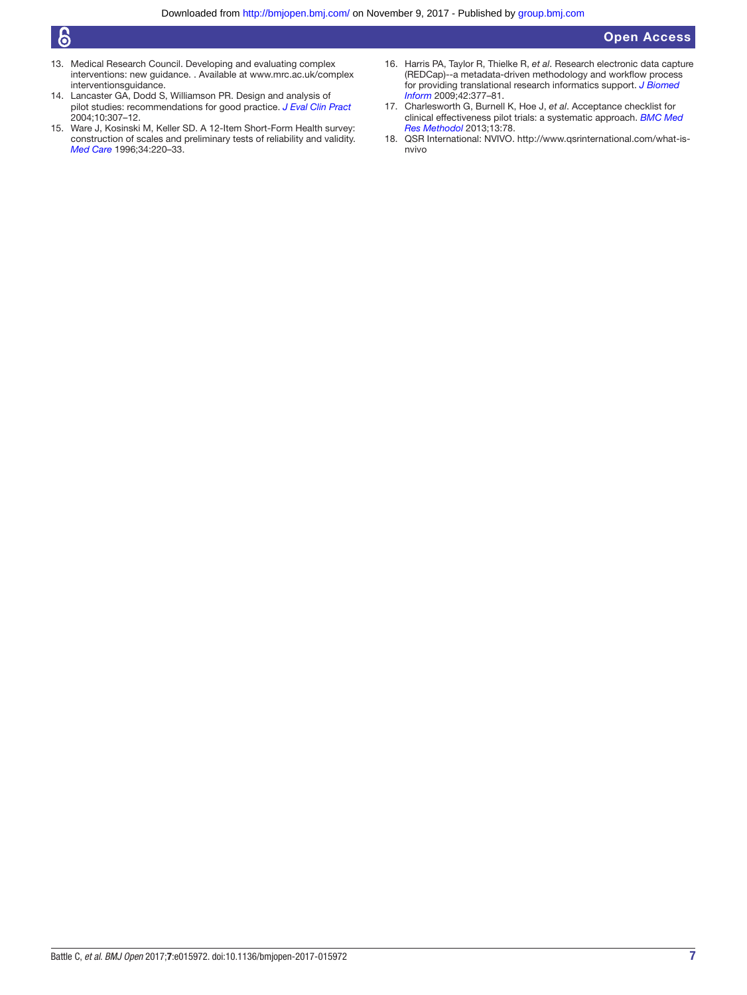# Open Access

# $\epsilon$

- 13. Medical Research Council. Developing and evaluating complex interventions: new guidance. . Available at www.mrc.ac.uk/complex interventionsguidance.
- 14. Lancaster GA, Dodd S, Williamson PR. Design and analysis of pilot studies: recommendations for good practice. *J Eval Clin Pract* 2004;10:307–12.
- 15. Ware J, Kosinski M, Keller SD. A 12-Item Short-Form Health survey: construction of scales and preliminary tests of reliability and validity. *Med Care* 1996;34:220–33.
- 16. Harris PA, Taylor R, Thielke R, *et al*. Research electronic data capture (REDCap)--a metadata-driven methodology and workflow process for providing translational research informatics support. *J Biomed Inform* 2009;42:377–81.
- 17. Charlesworth G, Burnell K, Hoe J, *et al*. Acceptance checklist for clinical effectiveness pilot trials: a systematic approach. *BMC Med Res Methodol* 2013;13:78.
- 18. QSR International: NVIVO. http://www.qsrinternational.com/what-isnvivo